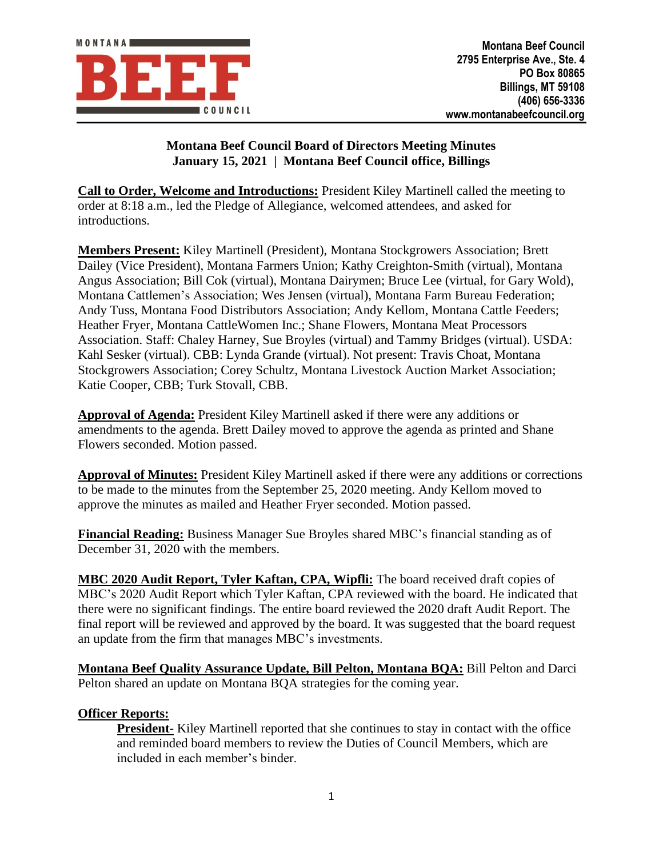

## **Montana Beef Council Board of Directors Meeting Minutes January 15, 2021 | Montana Beef Council office, Billings**

**Call to Order, Welcome and Introductions:** President Kiley Martinell called the meeting to order at 8:18 a.m., led the Pledge of Allegiance, welcomed attendees, and asked for introductions.

**Members Present:** Kiley Martinell (President), Montana Stockgrowers Association; Brett Dailey (Vice President), Montana Farmers Union; Kathy Creighton-Smith (virtual), Montana Angus Association; Bill Cok (virtual), Montana Dairymen; Bruce Lee (virtual, for Gary Wold), Montana Cattlemen's Association; Wes Jensen (virtual), Montana Farm Bureau Federation; Andy Tuss, Montana Food Distributors Association; Andy Kellom, Montana Cattle Feeders; Heather Fryer, Montana CattleWomen Inc.; Shane Flowers, Montana Meat Processors Association. Staff: Chaley Harney, Sue Broyles (virtual) and Tammy Bridges (virtual). USDA: Kahl Sesker (virtual). CBB: Lynda Grande (virtual). Not present: Travis Choat, Montana Stockgrowers Association; Corey Schultz, Montana Livestock Auction Market Association; Katie Cooper, CBB; Turk Stovall, CBB.

**Approval of Agenda:** President Kiley Martinell asked if there were any additions or amendments to the agenda. Brett Dailey moved to approve the agenda as printed and Shane Flowers seconded. Motion passed.

**Approval of Minutes:** President Kiley Martinell asked if there were any additions or corrections to be made to the minutes from the September 25, 2020 meeting. Andy Kellom moved to approve the minutes as mailed and Heather Fryer seconded. Motion passed.

**Financial Reading:** Business Manager Sue Broyles shared MBC's financial standing as of December 31, 2020 with the members.

**MBC 2020 Audit Report, Tyler Kaftan, CPA, Wipfli:** The board received draft copies of MBC's 2020 Audit Report which Tyler Kaftan, CPA reviewed with the board. He indicated that there were no significant findings. The entire board reviewed the 2020 draft Audit Report. The final report will be reviewed and approved by the board. It was suggested that the board request an update from the firm that manages MBC's investments.

**Montana Beef Quality Assurance Update, Bill Pelton, Montana BQA:** Bill Pelton and Darci Pelton shared an update on Montana BQA strategies for the coming year.

## **Officer Reports:**

**President-** Kiley Martinell reported that she continues to stay in contact with the office and reminded board members to review the Duties of Council Members, which are included in each member's binder.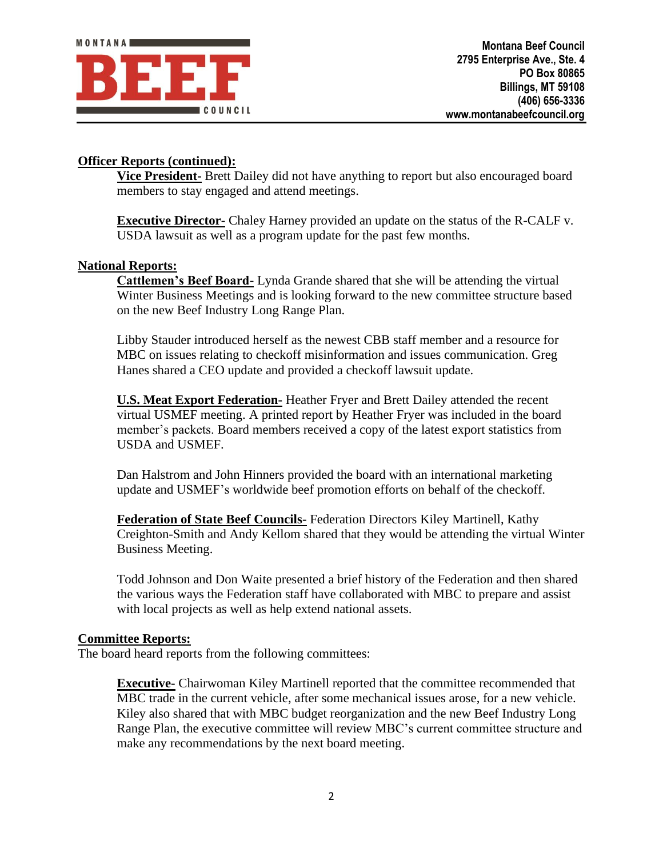## **Officer Reports (continued):**

**Vice President-** Brett Dailey did not have anything to report but also encouraged board members to stay engaged and attend meetings.

**Executive Director-** Chaley Harney provided an update on the status of the R-CALF v. USDA lawsuit as well as a program update for the past few months.

## **National Reports:**

**Cattlemen's Beef Board-** Lynda Grande shared that she will be attending the virtual Winter Business Meetings and is looking forward to the new committee structure based on the new Beef Industry Long Range Plan.

Libby Stauder introduced herself as the newest CBB staff member and a resource for MBC on issues relating to checkoff misinformation and issues communication. Greg Hanes shared a CEO update and provided a checkoff lawsuit update.

**U.S. Meat Export Federation-** Heather Fryer and Brett Dailey attended the recent virtual USMEF meeting. A printed report by Heather Fryer was included in the board member's packets. Board members received a copy of the latest export statistics from USDA and USMEF.

Dan Halstrom and John Hinners provided the board with an international marketing update and USMEF's worldwide beef promotion efforts on behalf of the checkoff.

**Federation of State Beef Councils-** Federation Directors Kiley Martinell, Kathy Creighton-Smith and Andy Kellom shared that they would be attending the virtual Winter Business Meeting.

Todd Johnson and Don Waite presented a brief history of the Federation and then shared the various ways the Federation staff have collaborated with MBC to prepare and assist with local projects as well as help extend national assets.

#### **Committee Reports:**

The board heard reports from the following committees:

**Executive-** Chairwoman Kiley Martinell reported that the committee recommended that MBC trade in the current vehicle, after some mechanical issues arose, for a new vehicle. Kiley also shared that with MBC budget reorganization and the new Beef Industry Long Range Plan, the executive committee will review MBC's current committee structure and make any recommendations by the next board meeting.